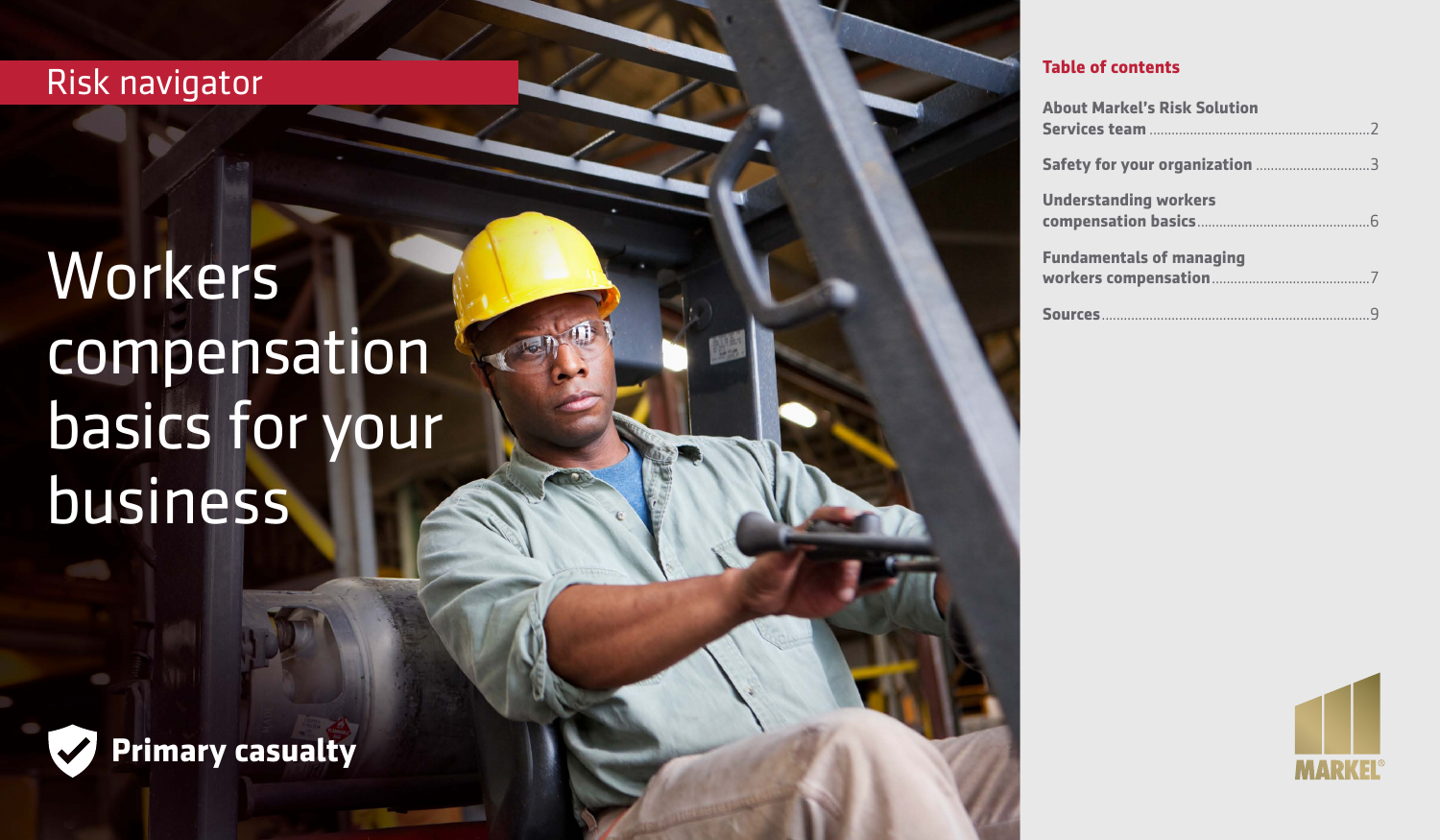# Risk navigator

# Workers compensation basics for your business



| <b>About Markel's Risk Solution</b> |
|-------------------------------------|
|                                     |
| <b>Understanding workers</b>        |
| <b>Fundamentals of managing</b>     |
|                                     |



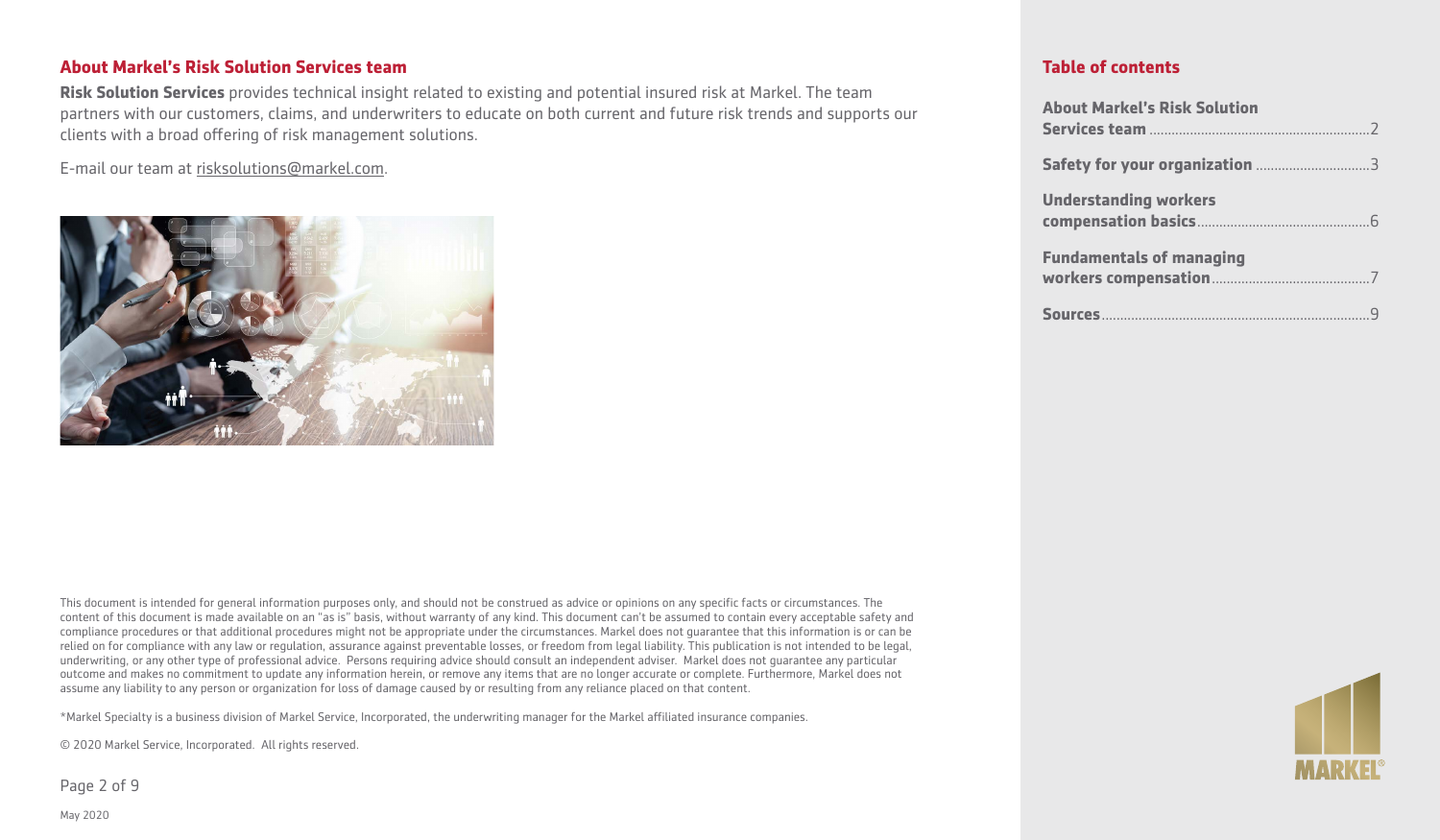#### **About Markel's Risk Solution Services team**

**Risk Solution Services** provides technical insight related to existing and potential insured risk at Markel. The team partners with our customers, claims, and underwriters to educate on both current and future risk trends and supports our clients with a broad offering of risk management solutions.

E-mail our team at [risksolutions@markel.com](mailto:risksolutions@markel.com).



This document is intended for general information purposes only, and should not be construed as advice or opinions on any specific facts or circumstances. The content of this document is made available on an "as is" basis, without warranty of any kind. This document can't be assumed to contain every acceptable safety and compliance procedures or that additional procedures might not be appropriate under the circumstances. Markel does not guarantee that this information is or can be relied on for compliance with any law or regulation, assurance against preventable losses, or freedom from legal liability. This publication is not intended to be legal, underwriting, or any other type of professional advice. Persons requiring advice should consult an independent adviser. Markel does not guarantee any particular outcome and makes no commitment to update any information herein, or remove any items that are no longer accurate or complete. Furthermore, Markel does not assume any liability to any person or organization for loss of damage caused by or resulting from any reliance placed on that content.

\*Markel Specialty is a business division of Markel Service, Incorporated, the underwriting manager for the Markel affiliated insurance companies.

© 2020 Markel Service, Incorporated. All rights reserved.

Page 2 of 9

| <b>About Markel's Risk Solution</b> |
|-------------------------------------|
|                                     |
| <b>Understanding workers</b>        |
| <b>Fundamentals of managing</b>     |
|                                     |

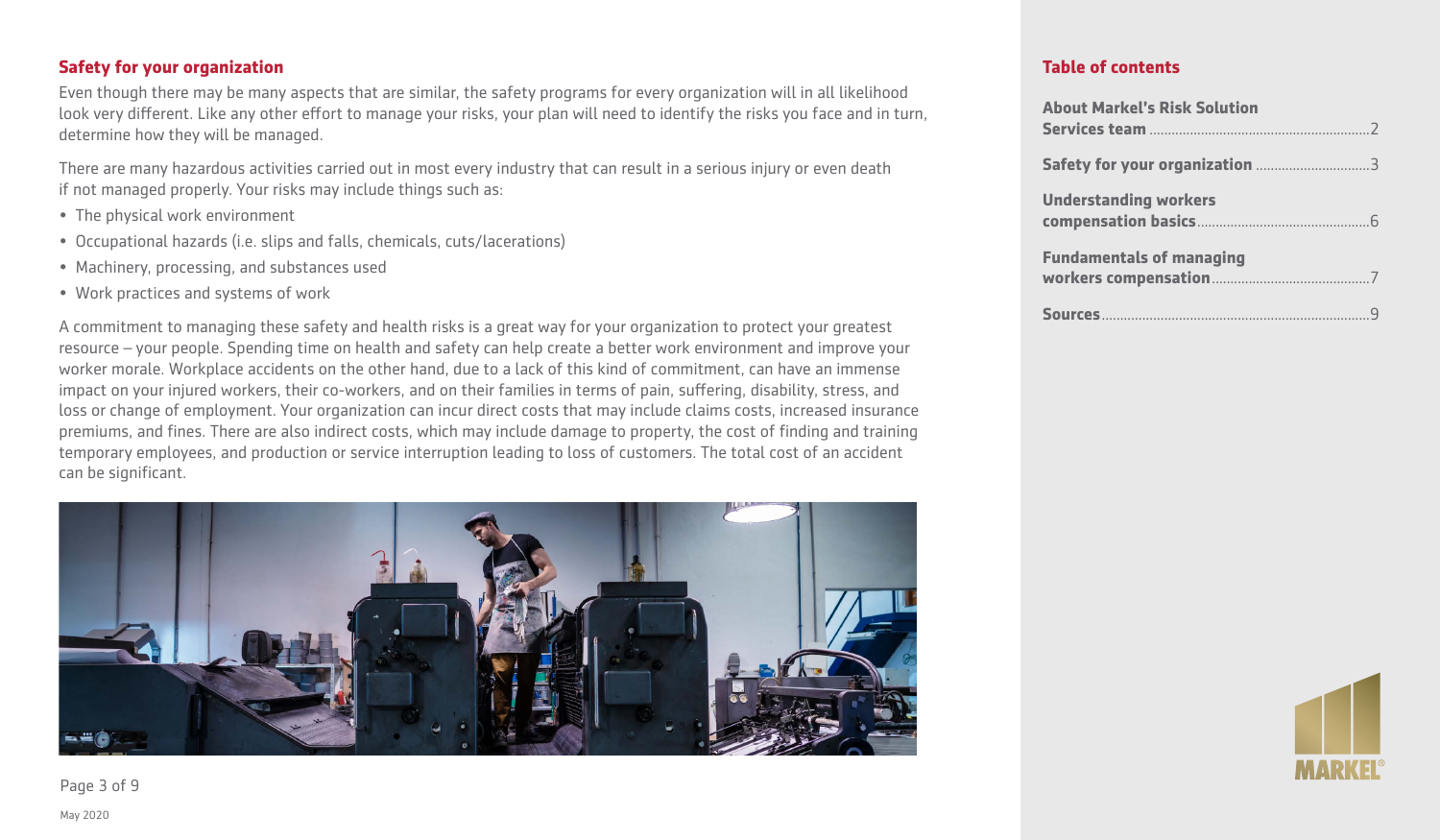# **Safety for your organization**

Even though there may be many aspects that are similar, the safety programs for every organization will in all likelihood look very different. Like any other effort to manage your risks, your plan will need to identify the risks you face and in turn, determine how they will be managed.

There are many hazardous activities carried out in most every industry that can result in a serious injury or even death if not managed properly. Your risks may include things such as:

- The physical work environment
- Occupational hazards (i.e. slips and falls, chemicals, cuts/lacerations)
- Machinery, processing, and substances used
- Work practices and systems of work

A commitment to managing these safety and health risks is a great way for your organization to protect your greatest resource – your people. Spending time on health and safety can help create a better work environment and improve your worker morale. Workplace accidents on the other hand, due to a lack of this kind of commitment, can have an immense impact on your injured workers, their co-workers, and on their families in terms of pain, suffering, disability, stress, and loss or change of employment. Your organization can incur direct costs that may include claims costs, increased insurance premiums, and fines. There are also indirect costs, which may include damage to property, the cost of finding and training temporary employees, and production or service interruption leading to loss of customers. The total cost of an accident can be significant.



**Table of contents**

| <b>About Markel's Risk Solution</b> |
|-------------------------------------|
|                                     |
| <b>Understanding workers</b>        |
| <b>Fundamentals of managing</b>     |
|                                     |



Page 3 of 9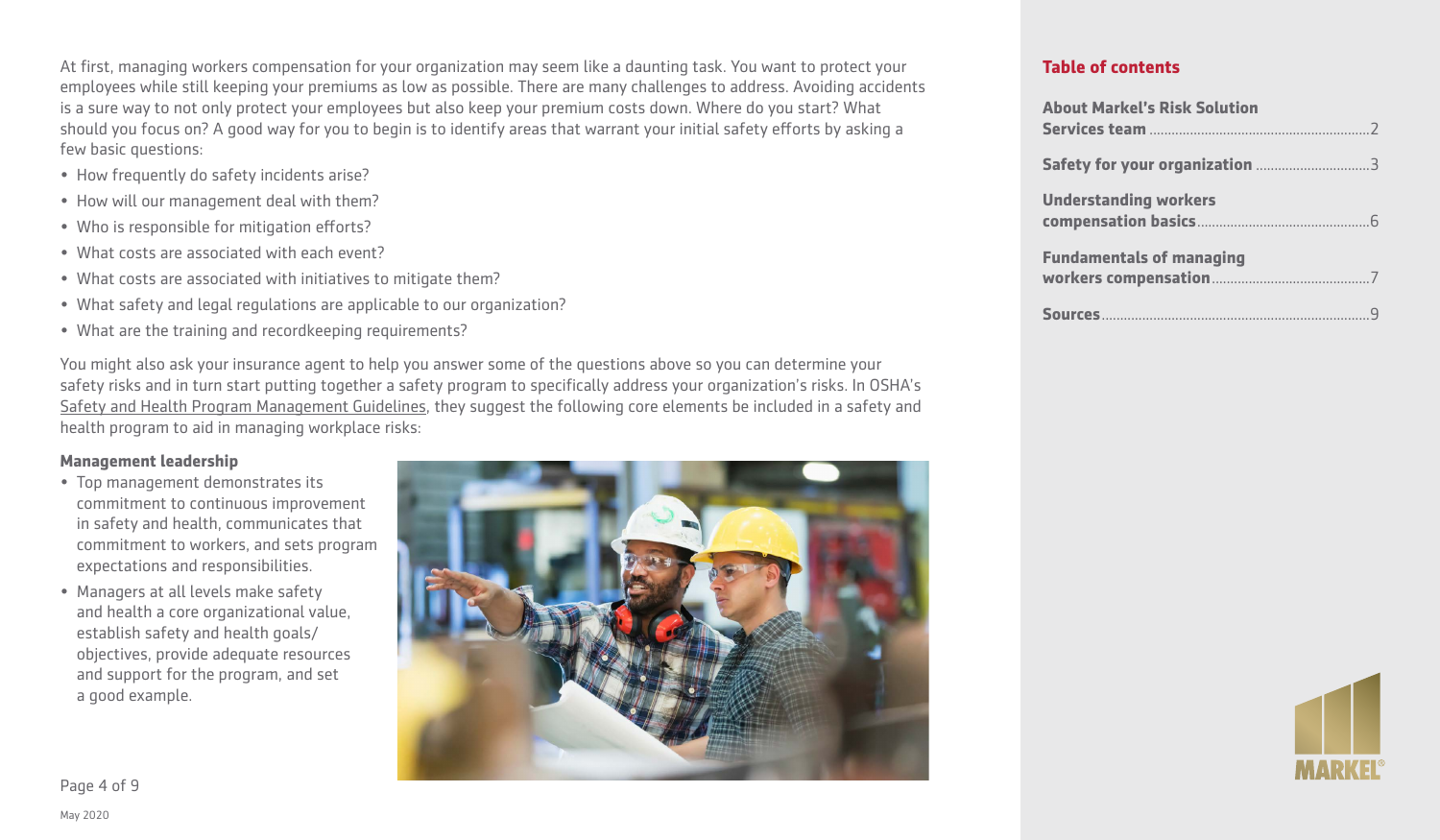At first, managing workers compensation for your organization may seem like a daunting task. You want to protect your employees while still keeping your premiums as low as possible. There are many challenges to address. Avoiding accidents is a sure way to not only protect your employees but also keep your premium costs down. Where do you start? What should you focus on? A good way for you to begin is to identify areas that warrant your initial safety efforts by asking a few basic questions:

- How frequently do safety incidents arise?
- How will our management deal with them?
- Who is responsible for mitigation efforts?
- What costs are associated with each event?
- What costs are associated with initiatives to mitigate them?
- What safety and legal regulations are applicable to our organization?
- What are the training and recordkeeping requirements?

You might also ask your insurance agent to help you answer some of the questions above so you can determine your safety risks and in turn start putting together a safety program to specifically address your organization's risks. In OSHA's [Safety and Health Program Management Guidelines,](https://www.osha.gov/shpmguidelines/SHPM_guidelines.pdf) they suggest the following core elements be included in a safety and health program to aid in managing workplace risks:

#### **Management leadership**

- Top management demonstrates its commitment to continuous improvement in safety and health, communicates that commitment to workers, and sets program expectations and responsibilities.
- Managers at all levels make safety and health a core organizational value, establish safety and health goals/ objectives, provide adequate resources and support for the program, and set a good example.



| <b>About Markel's Risk Solution</b> |
|-------------------------------------|
|                                     |
| <b>Understanding workers</b>        |
| <b>Fundamentals of managing</b>     |
|                                     |

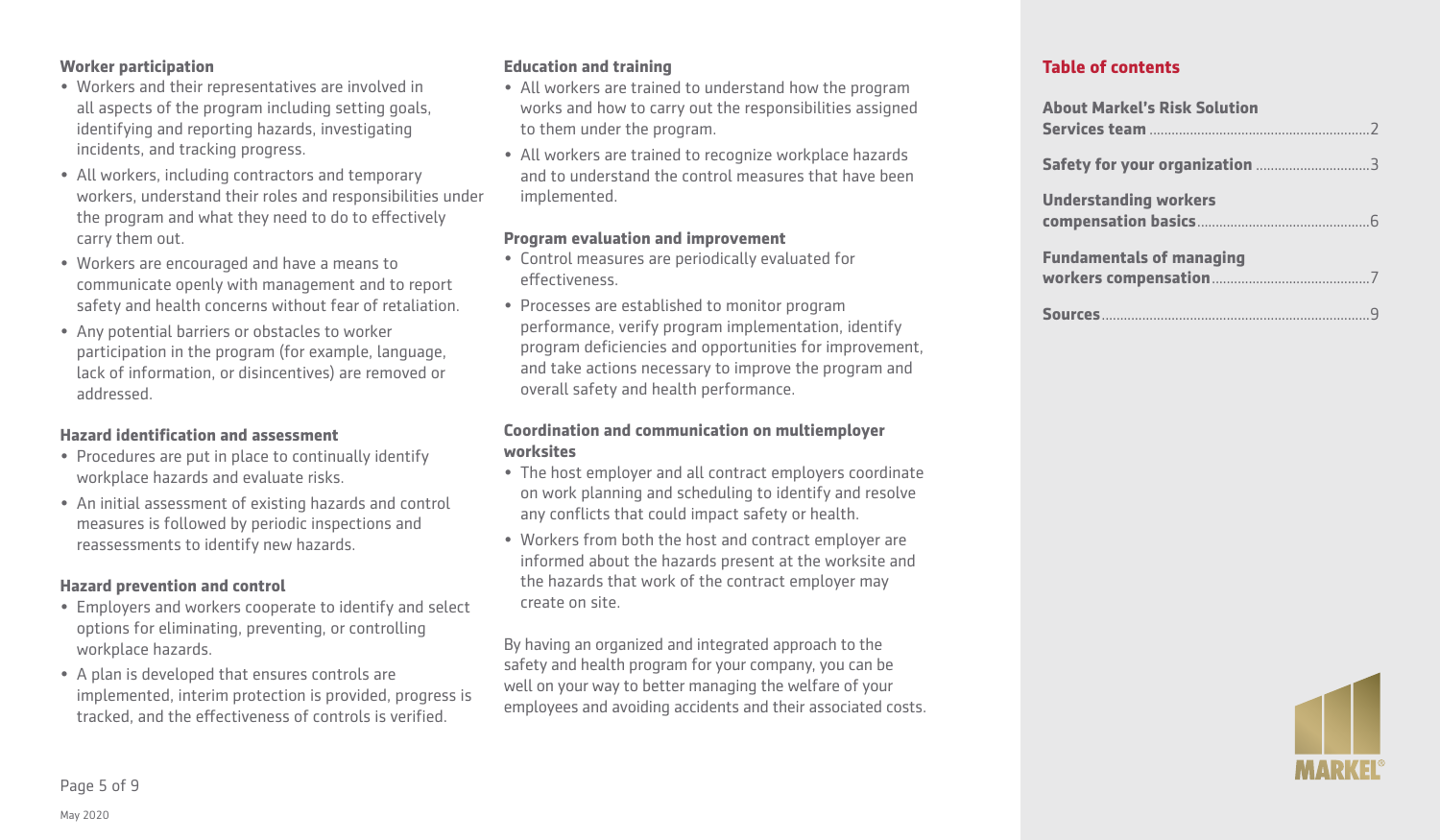#### **Worker participation**

- Workers and their representatives are involved in all aspects of the program including setting goals, identifying and reporting hazards, investigating incidents, and tracking progress.
- All workers, including contractors and temporary workers, understand their roles and responsibilities under the program and what they need to do to effectively carry them out.
- Workers are encouraged and have a means to communicate openly with management and to report safety and health concerns without fear of retaliation.
- Any potential barriers or obstacles to worker participation in the program (for example, language, lack of information, or disincentives) are removed or addressed.

#### **Hazard identification and assessment**

- Procedures are put in place to continually identify workplace hazards and evaluate risks.
- An initial assessment of existing hazards and control measures is followed by periodic inspections and reassessments to identify new hazards.

#### **Hazard prevention and control**

- Employers and workers cooperate to identify and select options for eliminating, preventing, or controlling workplace hazards.
- A plan is developed that ensures controls are implemented, interim protection is provided, progress is tracked, and the effectiveness of controls is verified.

#### **Education and training**

- All workers are trained to understand how the program works and how to carry out the responsibilities assigned to them under the program.
- All workers are trained to recognize workplace hazards and to understand the control measures that have been implemented.

#### **Program evaluation and improvement**

- Control measures are periodically evaluated for effectiveness.
- Processes are established to monitor program performance, verify program implementation, identify program deficiencies and opportunities for improvement, and take actions necessary to improve the program and overall safety and health performance.

#### **Coordination and communication on multiemployer worksites**

- The host employer and all contract employers coordinate on work planning and scheduling to identify and resolve any conflicts that could impact safety or health.
- Workers from both the host and contract employer are informed about the hazards present at the worksite and the hazards that work of the contract employer may create on site.

By having an organized and integrated approach to the safety and health program for your company, you can be well on your way to better managing the welfare of your employees and avoiding accidents and their associated costs.

| <b>About Markel's Risk Solution</b> |
|-------------------------------------|
|                                     |
| <b>Understanding workers</b>        |
| <b>Fundamentals of managing</b>     |
|                                     |

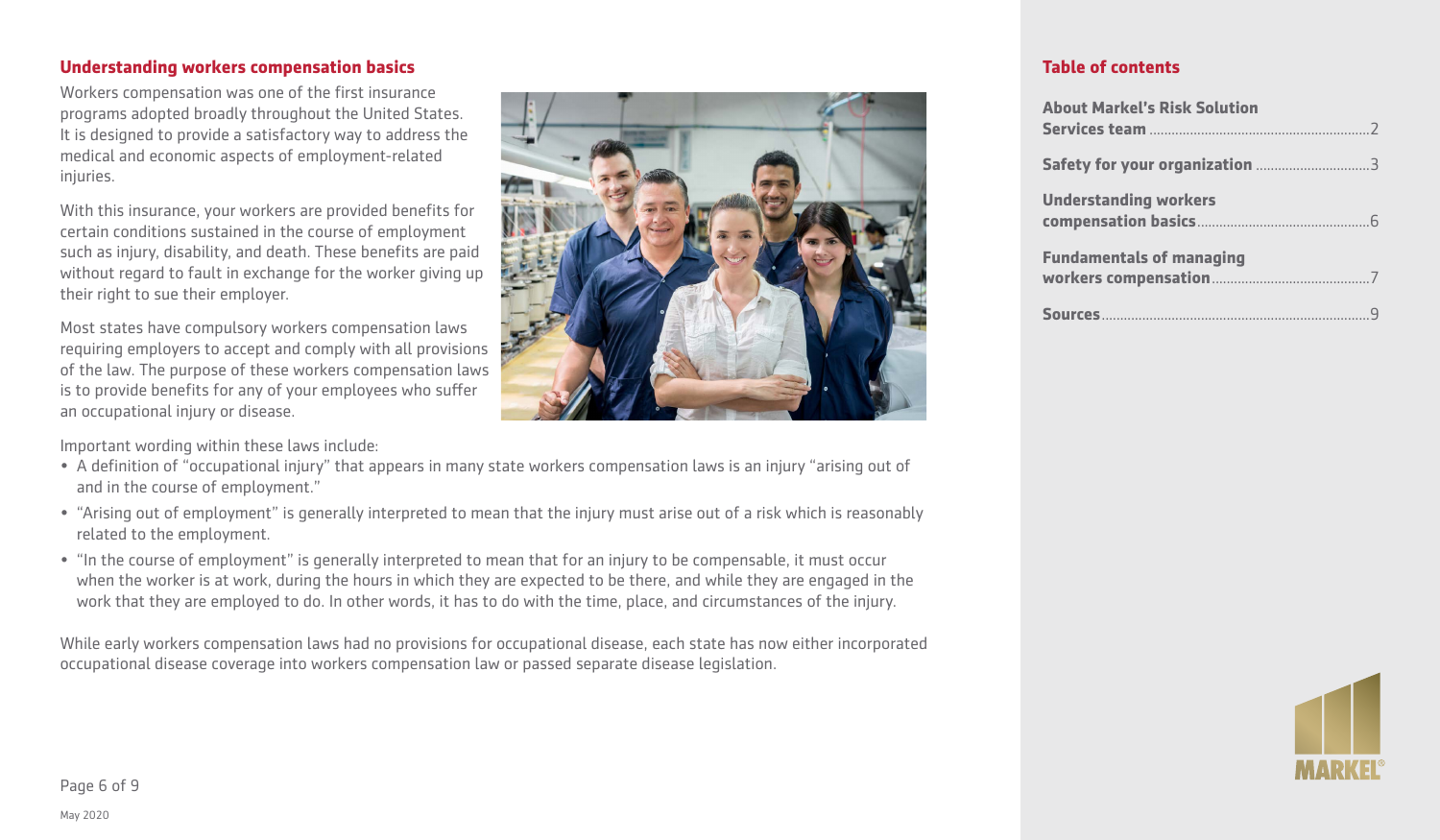#### **Understanding workers compensation basics**

Workers compensation was one of the first insurance programs adopted broadly throughout the United States. It is designed to provide a satisfactory way to address the medical and economic aspects of employment-related injuries.

With this insurance, your workers are provided benefits for certain conditions sustained in the course of employment such as injury, disability, and death. These benefits are paid without regard to fault in exchange for the worker giving up their right to sue their employer.

Most states have compulsory workers compensation laws requiring employers to accept and comply with all provisions of the law. The purpose of these workers compensation laws is to provide benefits for any of your employees who suffer an occupational injury or disease.

Important wording within these laws include:

- A definition of "occupational injury" that appears in many state workers compensation laws is an injury "arising out of and in the course of employment."
- "Arising out of employment" is generally interpreted to mean that the injury must arise out of a risk which is reasonably related to the employment.
- "In the course of employment" is generally interpreted to mean that for an injury to be compensable, it must occur when the worker is at work, during the hours in which they are expected to be there, and while they are engaged in the work that they are employed to do. In other words, it has to do with the time, place, and circumstances of the injury.

While early workers compensation laws had no provisions for occupational disease, each state has now either incorporated occupational disease coverage into workers compensation law or passed separate disease legislation.



| <b>About Markel's Risk Solution</b> |
|-------------------------------------|
|                                     |
| <b>Understanding workers</b>        |
| <b>Fundamentals of managing</b>     |
|                                     |

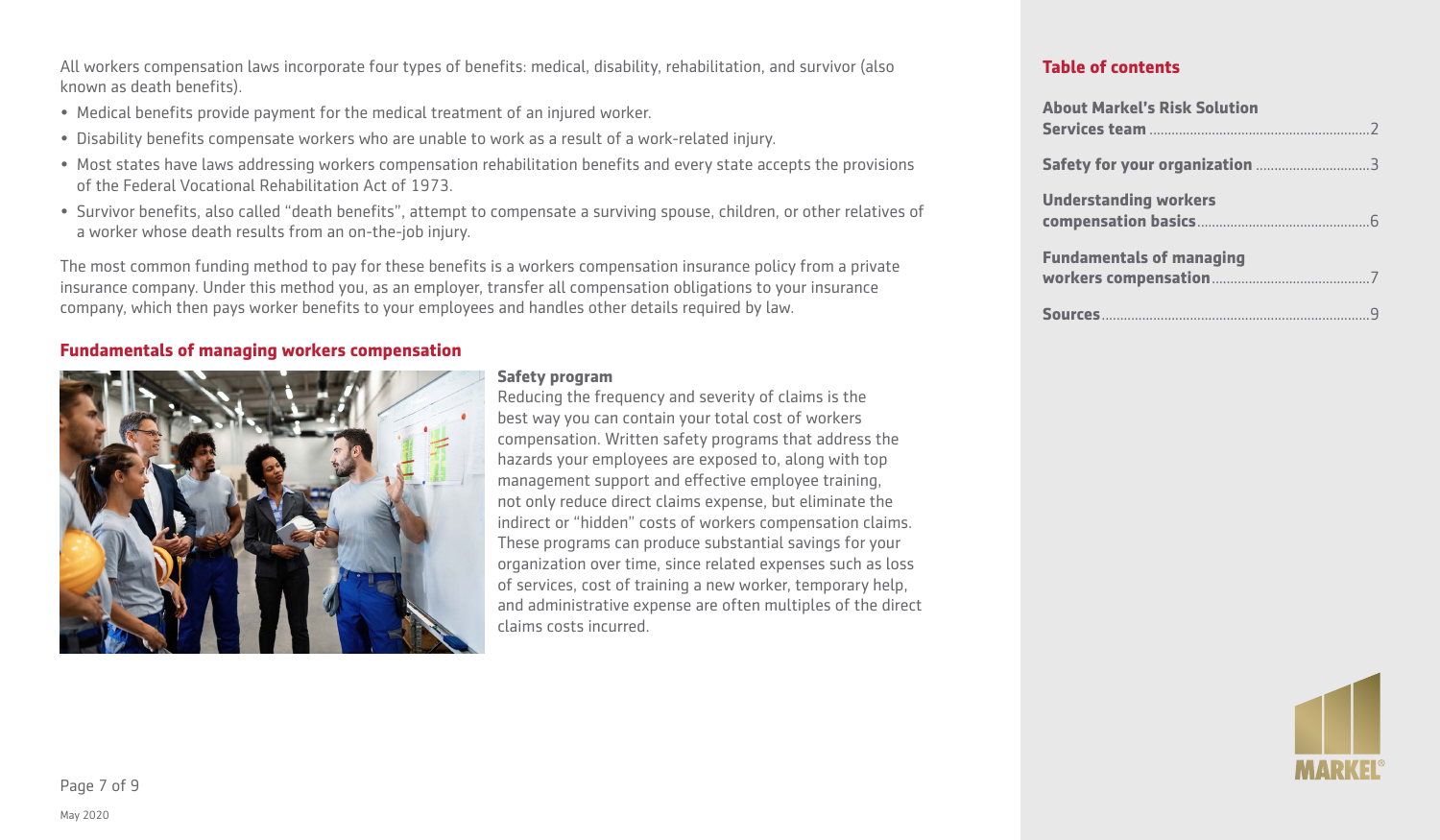All workers compensation laws incorporate four types of benefits: medical, disability, rehabilitation, and survivor (also known as death benefits).

- Medical benefits provide payment for the medical treatment of an injured worker.
- Disability benefits compensate workers who are unable to work as a result of a work-related injury.
- Most states have laws addressing workers compensation rehabilitation benefits and every state accepts the provisions of the Federal Vocational Rehabilitation Act of 1973.
- Survivor benefits, also called "death benefits", attempt to compensate a surviving spouse, children, or other relatives of a worker whose death results from an on-the-job injury.

The most common funding method to pay for these benefits is a workers compensation insurance policy from a private insurance company. Under this method you, as an employer, transfer all compensation obligations to your insurance company, which then pays worker benefits to your employees and handles other details required by law.

# **Fundamentals of managing workers compensation**



#### **Safety program**

Reducing the frequency and severity of claims is the best way you can contain your total cost of workers compensation. Written safety programs that address the hazards your employees are exposed to, along with top management support and effective employee training, not only reduce direct claims expense, but eliminate the indirect or "hidden" costs of workers compensation claims. These programs can produce substantial savings for your organization over time, since related expenses such as loss of services, cost of training a new worker, temporary help, and administrative expense are often multiples of the direct claims costs incurred.

| <b>About Markel's Risk Solution</b> |
|-------------------------------------|
|                                     |
| <b>Understanding workers</b>        |
| <b>Fundamentals of managing</b>     |
|                                     |

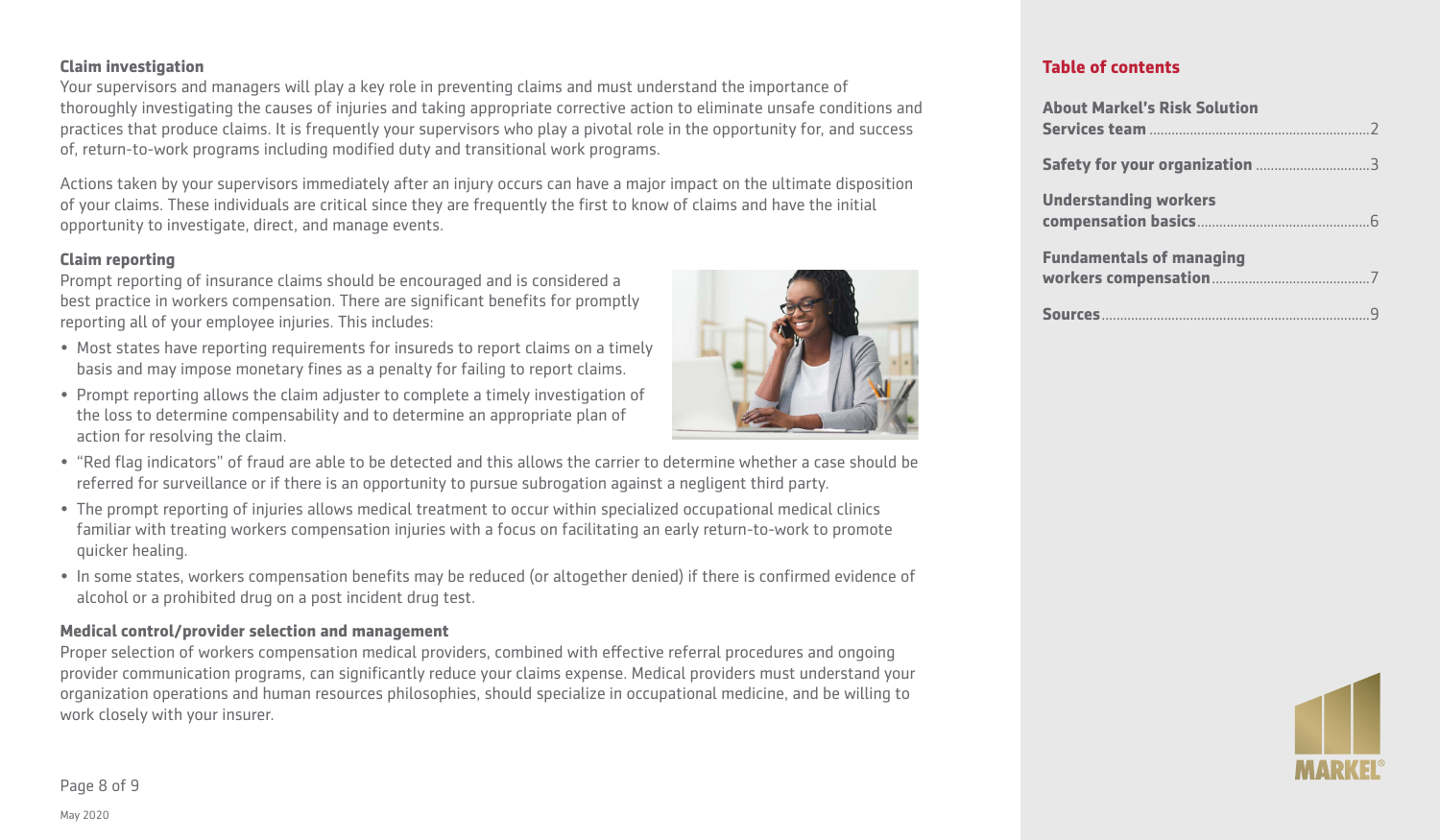#### **Claim investigation**

Your supervisors and managers will play a key role in preventing claims and must understand the importance of thoroughly investigating the causes of injuries and taking appropriate corrective action to eliminate unsafe conditions and practices that produce claims. It is frequently your supervisors who play a pivotal role in the opportunity for, and success of, return-to-work programs including modified duty and transitional work programs.

Actions taken by your supervisors immediately after an injury occurs can have a major impact on the ultimate disposition of your claims. These individuals are critical since they are frequently the first to know of claims and have the initial opportunity to investigate, direct, and manage events.

#### **Claim reporting**

Prompt reporting of insurance claims should be encouraged and is considered a best practice in workers compensation. There are significant benefits for promptly reporting all of your employee injuries. This includes:

- Most states have reporting requirements for insureds to report claims on a timely basis and may impose monetary fines as a penalty for failing to report claims.
- Prompt reporting allows the claim adjuster to complete a timely investigation of the loss to determine compensability and to determine an appropriate plan of action for resolving the claim.
- "Red flag indicators" of fraud are able to be detected and this allows the carrier to determine whether a case should be referred for surveillance or if there is an opportunity to pursue subrogation against a negligent third party.
- The prompt reporting of injuries allows medical treatment to occur within specialized occupational medical clinics familiar with treating workers compensation injuries with a focus on facilitating an early return-to-work to promote quicker healing.
- In some states, workers compensation benefits may be reduced (or altogether denied) if there is confirmed evidence of alcohol or a prohibited drug on a post incident drug test.

# **Medical control/provider selection and management**

Proper selection of workers compensation medical providers, combined with effective referral procedures and ongoing provider communication programs, can significantly reduce your claims expense. Medical providers must understand your organization operations and human resources philosophies, should specialize in occupational medicine, and be willing to work closely with your insurer.

# **Table of contents**

| <b>About Markel's Risk Solution</b> |
|-------------------------------------|
|                                     |
| <b>Understanding workers</b>        |
| <b>Fundamentals of managing</b>     |
|                                     |



Page 8 of 9